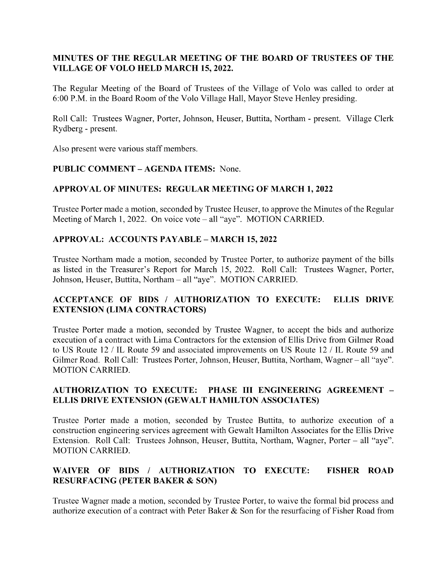# MINUTES OF THE REGULAR MEETING OF THE BOARD OF TRUSTEES OF THE VILLAGE OF VOLO HELD MARCH 15, 2022.

The Regular Meeting of the Board of Trustees of the Village of Volo was called to order at 6:00 P.M. in the Board Room of the Volo Village Hall, Mayor Steve Henley presiding.

Roll Call: Trustees Wagner, Porter, Johnson, Heuser, Buttita, Northam - present. Village Clerk Rydberg - present.

Also present were various staff members.

## PUBLIC COMMENT – AGENDA ITEMS: None.

## APPROVAL OF MINUTES: REGULAR MEETING OF MARCH 1, 2022

Trustee Porter made a motion, seconded by Trustee Heuser, to approve the Minutes of the Regular Meeting of March 1, 2022. On voice vote – all "aye". MOTION CARRIED.

## APPROVAL: ACCOUNTS PAYABLE – MARCH 15, 2022

Trustee Northam made a motion, seconded by Trustee Porter, to authorize payment of the bills as listed in the Treasurer's Report for March 15, 2022. Roll Call: Trustees Wagner, Porter, Johnson, Heuser, Buttita, Northam – all "aye". MOTION CARRIED.

# ACCEPTANCE OF BIDS / AUTHORIZATION TO EXECUTE: ELLIS DRIVE **EXTENSION (LIMA CONTRACTORS)**

Trustee Porter made a motion, seconded by Trustee Wagner, to accept the bids and authorize execution of a contract with Lima Contractors for the extension of Ellis Drive from Gilmer Road to US Route 12 / IL Route 59 and associated improvements on US Route 12 / IL Route 59 and Gilmer Road. Roll Call: Trustees Porter, Johnson, Heuser, Buttita, Northam, Wagner – all "aye". MOTION CARRIED.

## AUTHORIZATION TO EXECUTE: PHASE III ENGINEERING AGREEMENT – ELLIS DRIVE EXTENSION (GEWALT HAMILTON ASSOCIATES)

Trustee Porter made a motion, seconded by Trustee Buttita, to authorize execution of a construction engineering services agreement with Gewalt Hamilton Associates for the Ellis Drive Extension. Roll Call: Trustees Johnson, Heuser, Buttita, Northam, Wagner, Porter – all "aye". MOTION CARRIED.

# WAIVER OF BIDS / AUTHORIZATION TO EXECUTE: FISHER ROAD RESURFACING (PETER BAKER & SON)

Trustee Wagner made a motion, seconded by Trustee Porter, to waive the formal bid process and authorize execution of a contract with Peter Baker & Son for the resurfacing of Fisher Road from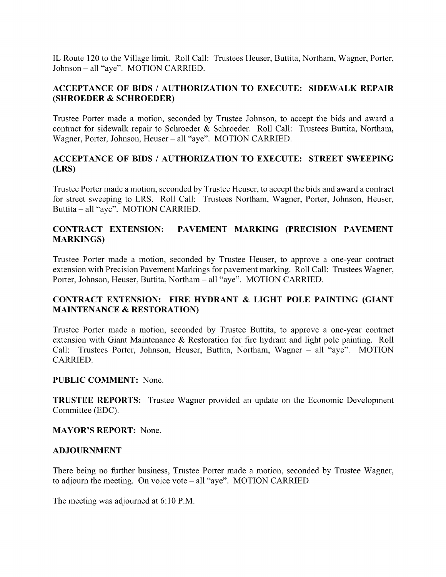IL Route 120 to the Village limit. Roll Call: Trustees Heuser, Buttita, Northam, Wagner, Porter, Johnson – all "aye". MOTION CARRIED.

# ACCEPTANCE OF BIDS / AUTHORIZATION TO EXECUTE: SIDEWALK REPAIR SHROEDER & SCHROEDER)

Trustee Porter made a motion, seconded by Trustee Johnson, to accept the bids and award a contract for sidewalk repair to Schroeder & Schroeder. Roll Call: Trustees Buttita, Northam, Wagner, Porter, Johnson, Heuser – all "aye". MOTION CARRIED.

# ACCEPTANCE OF BIDS / AUTHORIZATION TO EXECUTE: STREET SWEEPING LRS)

Trustee Porter made a motion, seconded by Trustee Heuser, to accept the bids and award a contract for street sweeping to LRS. Roll Call: Trustees Northam, Wagner, Porter, Johnson, Heuser, Buttita – all "aye". MOTION CARRIED.

# CONTRACT EXTENSION: PAVEMENT MARKING (PRECISION PAVEMENT MARKINGS)

Trustee Porter made a motion, seconded by Trustee Heuser, to approve a one-year contract extension with Precision Pavement Markings for pavement marking. Roll Call: Trustees Wagner, Porter, Johnson, Heuser, Buttita, Northam – all "aye". MOTION CARRIED.

# CONTRACT EXTENSION: FIRE HYDRANT & LIGHT POLE PAINTING (GIANT MAINTENANCE & RESTORATION)

Trustee Porter made a motion, seconded by Trustee Buttita, to approve a one-year contract extension with Giant Maintenance & Restoration for fire hydrant and light pole painting. Roll Call: Trustees Porter, Johnson, Heuser, Buttita, Northam, Wagner – all "aye". MOTION CARRIED.

### PUBLIC COMMENT: None.

TRUSTEE REPORTS: Trustee Wagner provided an update on the Economic Development Committee (EDC).

### MAYOR'S REPORT: None.

#### ADJOURNMENT

There being no further business, Trustee Porter made a motion, seconded by Trustee Wagner, to adjourn the meeting. On voice vote – all "aye". MOTION CARRIED.

The meeting was adjourned at 6:10 P.M.